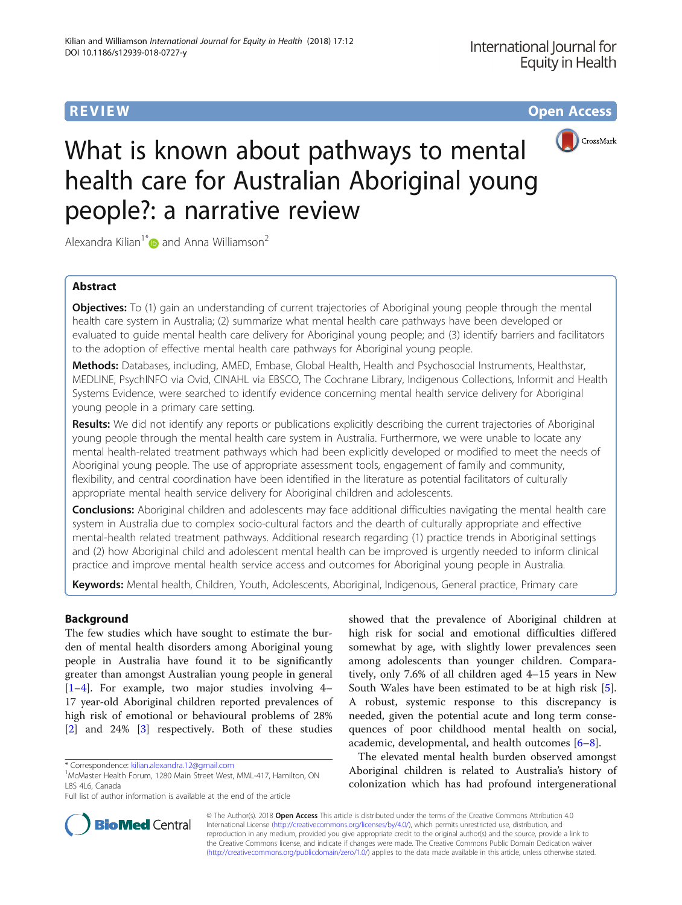**REVIEW CONSTRUCTION CONSTRUCTION CONSTRUCTS** 



# What is known about pathways to mental health care for Australian Aboriginal young people?: a narrative review

Alexandra Kilian<sup>1\*</sup> and Anna Williamson<sup>2</sup>

# Abstract

Objectives: To (1) gain an understanding of current trajectories of Aboriginal young people through the mental health care system in Australia; (2) summarize what mental health care pathways have been developed or evaluated to guide mental health care delivery for Aboriginal young people; and (3) identify barriers and facilitators to the adoption of effective mental health care pathways for Aboriginal young people.

Methods: Databases, including, AMED, Embase, Global Health, Health and Psychosocial Instruments, Healthstar, MEDLINE, PsychINFO via Ovid, CINAHL via EBSCO, The Cochrane Library, Indigenous Collections, Informit and Health Systems Evidence, were searched to identify evidence concerning mental health service delivery for Aboriginal young people in a primary care setting.

Results: We did not identify any reports or publications explicitly describing the current trajectories of Aboriginal young people through the mental health care system in Australia. Furthermore, we were unable to locate any mental health-related treatment pathways which had been explicitly developed or modified to meet the needs of Aboriginal young people. The use of appropriate assessment tools, engagement of family and community, flexibility, and central coordination have been identified in the literature as potential facilitators of culturally appropriate mental health service delivery for Aboriginal children and adolescents.

**Conclusions:** Aboriginal children and adolescents may face additional difficulties navigating the mental health care system in Australia due to complex socio-cultural factors and the dearth of culturally appropriate and effective mental-health related treatment pathways. Additional research regarding (1) practice trends in Aboriginal settings and (2) how Aboriginal child and adolescent mental health can be improved is urgently needed to inform clinical practice and improve mental health service access and outcomes for Aboriginal young people in Australia.

Keywords: Mental health, Children, Youth, Adolescents, Aboriginal, Indigenous, General practice, Primary care

# Background

The few studies which have sought to estimate the burden of mental health disorders among Aboriginal young people in Australia have found it to be significantly greater than amongst Australian young people in general [[1](#page-6-0)–[4\]](#page-6-0). For example, two major studies involving 4– 17 year-old Aboriginal children reported prevalences of high risk of emotional or behavioural problems of 28% [[2\]](#page-6-0) and 24% [[3\]](#page-6-0) respectively. Both of these studies

showed that the prevalence of Aboriginal children at high risk for social and emotional difficulties differed somewhat by age, with slightly lower prevalences seen among adolescents than younger children. Comparatively, only 7.6% of all children aged 4–15 years in New South Wales have been estimated to be at high risk [\[5](#page-6-0)]. A robust, systemic response to this discrepancy is needed, given the potential acute and long term consequences of poor childhood mental health on social, academic, developmental, and health outcomes [\[6](#page-6-0)–[8\]](#page-6-0).

The elevated mental health burden observed amongst Aboriginal children is related to Australia's history of colonization which has had profound intergenerational



© The Author(s). 2018 Open Access This article is distributed under the terms of the Creative Commons Attribution 4.0 International License [\(http://creativecommons.org/licenses/by/4.0/](http://creativecommons.org/licenses/by/4.0/)), which permits unrestricted use, distribution, and reproduction in any medium, provided you give appropriate credit to the original author(s) and the source, provide a link to the Creative Commons license, and indicate if changes were made. The Creative Commons Public Domain Dedication waiver [\(http://creativecommons.org/publicdomain/zero/1.0/](http://creativecommons.org/publicdomain/zero/1.0/)) applies to the data made available in this article, unless otherwise stated.

<sup>\*</sup> Correspondence: [kilian.alexandra.12@gmail.com](mailto:kilian.alexandra.12@gmail.com) <sup>1</sup>

<sup>&</sup>lt;sup>1</sup>McMaster Health Forum, 1280 Main Street West, MML-417, Hamilton, ON L8S 4L6, Canada

Full list of author information is available at the end of the article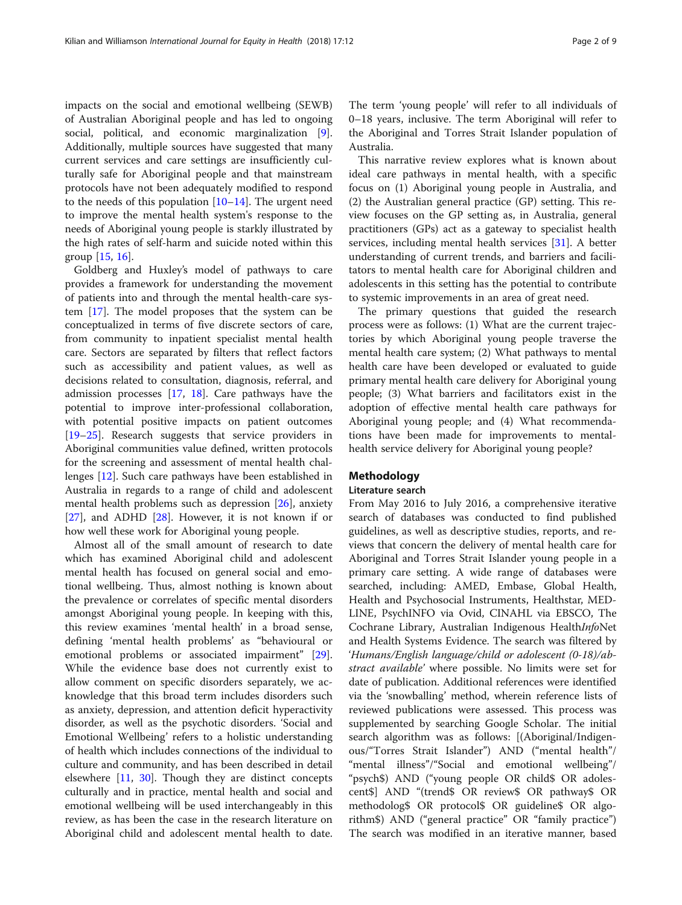impacts on the social and emotional wellbeing (SEWB) of Australian Aboriginal people and has led to ongoing social, political, and economic marginalization [\[9](#page-6-0)]. Additionally, multiple sources have suggested that many current services and care settings are insufficiently culturally safe for Aboriginal people and that mainstream protocols have not been adequately modified to respond to the needs of this population  $[10-14]$  $[10-14]$  $[10-14]$  $[10-14]$  $[10-14]$ . The urgent need to improve the mental health system's response to the needs of Aboriginal young people is starkly illustrated by the high rates of self-harm and suicide noted within this group [[15,](#page-7-0) [16\]](#page-7-0).

Goldberg and Huxley's model of pathways to care provides a framework for understanding the movement of patients into and through the mental health-care system [\[17](#page-7-0)]. The model proposes that the system can be conceptualized in terms of five discrete sectors of care, from community to inpatient specialist mental health care. Sectors are separated by filters that reflect factors such as accessibility and patient values, as well as decisions related to consultation, diagnosis, referral, and admission processes [[17,](#page-7-0) [18\]](#page-7-0). Care pathways have the potential to improve inter-professional collaboration, with potential positive impacts on patient outcomes [[19](#page-7-0)–[25](#page-7-0)]. Research suggests that service providers in Aboriginal communities value defined, written protocols for the screening and assessment of mental health challenges [\[12](#page-6-0)]. Such care pathways have been established in Australia in regards to a range of child and adolescent mental health problems such as depression [[26\]](#page-7-0), anxiety [[27\]](#page-7-0), and ADHD [\[28](#page-7-0)]. However, it is not known if or how well these work for Aboriginal young people.

Almost all of the small amount of research to date which has examined Aboriginal child and adolescent mental health has focused on general social and emotional wellbeing. Thus, almost nothing is known about the prevalence or correlates of specific mental disorders amongst Aboriginal young people. In keeping with this, this review examines 'mental health' in a broad sense, defining 'mental health problems' as "behavioural or emotional problems or associated impairment" [\[29](#page-7-0)]. While the evidence base does not currently exist to allow comment on specific disorders separately, we acknowledge that this broad term includes disorders such as anxiety, depression, and attention deficit hyperactivity disorder, as well as the psychotic disorders. 'Social and Emotional Wellbeing' refers to a holistic understanding of health which includes connections of the individual to culture and community, and has been described in detail elsewhere [[11,](#page-6-0) [30\]](#page-7-0). Though they are distinct concepts culturally and in practice, mental health and social and emotional wellbeing will be used interchangeably in this review, as has been the case in the research literature on Aboriginal child and adolescent mental health to date.

The term 'young people' will refer to all individuals of 0–18 years, inclusive. The term Aboriginal will refer to the Aboriginal and Torres Strait Islander population of Australia.

This narrative review explores what is known about ideal care pathways in mental health, with a specific focus on (1) Aboriginal young people in Australia, and (2) the Australian general practice (GP) setting. This review focuses on the GP setting as, in Australia, general practitioners (GPs) act as a gateway to specialist health services, including mental health services [[31\]](#page-7-0). A better understanding of current trends, and barriers and facilitators to mental health care for Aboriginal children and adolescents in this setting has the potential to contribute to systemic improvements in an area of great need.

The primary questions that guided the research process were as follows: (1) What are the current trajectories by which Aboriginal young people traverse the mental health care system; (2) What pathways to mental health care have been developed or evaluated to guide primary mental health care delivery for Aboriginal young people; (3) What barriers and facilitators exist in the adoption of effective mental health care pathways for Aboriginal young people; and (4) What recommendations have been made for improvements to mentalhealth service delivery for Aboriginal young people?

# Methodology

#### Literature search

From May 2016 to July 2016, a comprehensive iterative search of databases was conducted to find published guidelines, as well as descriptive studies, reports, and reviews that concern the delivery of mental health care for Aboriginal and Torres Strait Islander young people in a primary care setting. A wide range of databases were searched, including: AMED, Embase, Global Health, Health and Psychosocial Instruments, Healthstar, MED-LINE, PsychINFO via Ovid, CINAHL via EBSCO, The Cochrane Library, Australian Indigenous HealthInfoNet and Health Systems Evidence. The search was filtered by 'Humans/English language/child or adolescent (0-18)/abstract available' where possible. No limits were set for date of publication. Additional references were identified via the 'snowballing' method, wherein reference lists of reviewed publications were assessed. This process was supplemented by searching Google Scholar. The initial search algorithm was as follows: [(Aboriginal/Indigenous/"Torres Strait Islander") AND ("mental health"/ "mental illness"/"Social and emotional wellbeing"/ "psych\$) AND ("young people OR child\$ OR adolescent\$] AND "(trend\$ OR review\$ OR pathway\$ OR methodolog\$ OR protocol\$ OR guideline\$ OR algorithm\$) AND ("general practice" OR "family practice") The search was modified in an iterative manner, based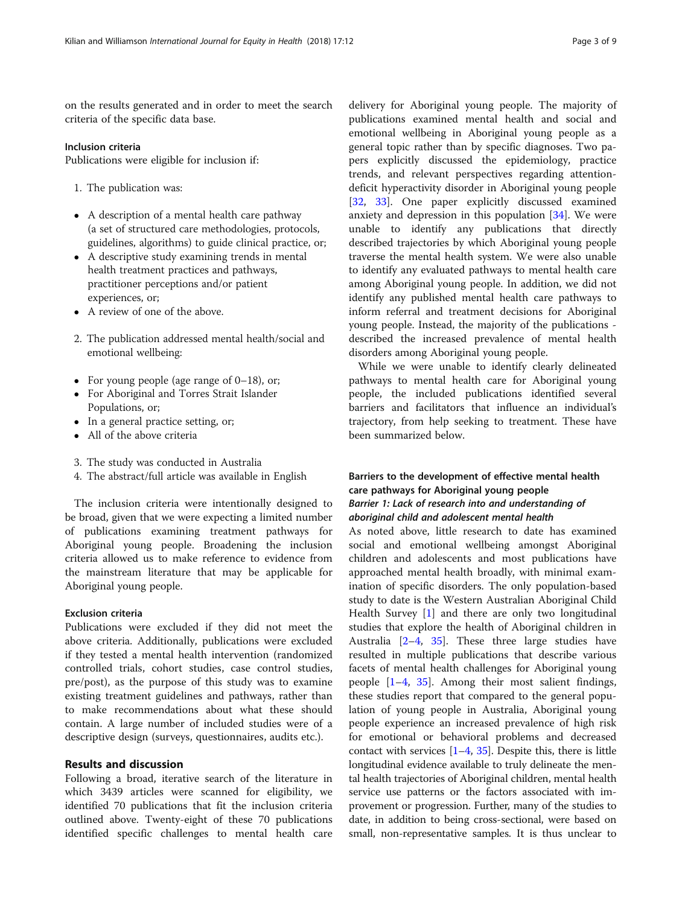on the results generated and in order to meet the search criteria of the specific data base.

### Inclusion criteria

Publications were eligible for inclusion if:

- 1. The publication was:
- A description of a mental health care pathway (a set of structured care methodologies, protocols, guidelines, algorithms) to guide clinical practice, or;
- A descriptive study examining trends in mental health treatment practices and pathways, practitioner perceptions and/or patient experiences, or;
- A review of one of the above.
- 2. The publication addressed mental health/social and emotional wellbeing:
- For young people (age range of  $0-18$ ), or;
- For Aboriginal and Torres Strait Islander Populations, or;
- In a general practice setting, or;
- All of the above criteria
- 3. The study was conducted in Australia
- 4. The abstract/full article was available in English

The inclusion criteria were intentionally designed to be broad, given that we were expecting a limited number of publications examining treatment pathways for Aboriginal young people. Broadening the inclusion criteria allowed us to make reference to evidence from the mainstream literature that may be applicable for Aboriginal young people.

# Exclusion criteria

Publications were excluded if they did not meet the above criteria. Additionally, publications were excluded if they tested a mental health intervention (randomized controlled trials, cohort studies, case control studies, pre/post), as the purpose of this study was to examine existing treatment guidelines and pathways, rather than to make recommendations about what these should contain. A large number of included studies were of a descriptive design (surveys, questionnaires, audits etc.).

# Results and discussion

Following a broad, iterative search of the literature in which 3439 articles were scanned for eligibility, we identified 70 publications that fit the inclusion criteria outlined above. Twenty-eight of these 70 publications identified specific challenges to mental health care

delivery for Aboriginal young people. The majority of publications examined mental health and social and emotional wellbeing in Aboriginal young people as a general topic rather than by specific diagnoses. Two papers explicitly discussed the epidemiology, practice trends, and relevant perspectives regarding attentiondeficit hyperactivity disorder in Aboriginal young people [[32,](#page-7-0) [33\]](#page-7-0). One paper explicitly discussed examined anxiety and depression in this population [[34\]](#page-7-0). We were unable to identify any publications that directly described trajectories by which Aboriginal young people traverse the mental health system. We were also unable to identify any evaluated pathways to mental health care among Aboriginal young people. In addition, we did not identify any published mental health care pathways to inform referral and treatment decisions for Aboriginal young people. Instead, the majority of the publications described the increased prevalence of mental health disorders among Aboriginal young people.

While we were unable to identify clearly delineated pathways to mental health care for Aboriginal young people, the included publications identified several barriers and facilitators that influence an individual's trajectory, from help seeking to treatment. These have been summarized below.

# Barriers to the development of effective mental health care pathways for Aboriginal young people Barrier 1: Lack of research into and understanding of aboriginal child and adolescent mental health

As noted above, little research to date has examined social and emotional wellbeing amongst Aboriginal children and adolescents and most publications have approached mental health broadly, with minimal examination of specific disorders. The only population-based study to date is the Western Australian Aboriginal Child Health Survey [\[1](#page-6-0)] and there are only two longitudinal studies that explore the health of Aboriginal children in Australia  $[2-4, 35]$  $[2-4, 35]$  $[2-4, 35]$  $[2-4, 35]$  $[2-4, 35]$  $[2-4, 35]$  $[2-4, 35]$ . These three large studies have resulted in multiple publications that describe various facets of mental health challenges for Aboriginal young people [\[1](#page-6-0)–[4](#page-6-0), [35\]](#page-7-0). Among their most salient findings, these studies report that compared to the general population of young people in Australia, Aboriginal young people experience an increased prevalence of high risk for emotional or behavioral problems and decreased contact with services  $[1-4, 35]$  $[1-4, 35]$  $[1-4, 35]$  $[1-4, 35]$  $[1-4, 35]$  $[1-4, 35]$ . Despite this, there is little longitudinal evidence available to truly delineate the mental health trajectories of Aboriginal children, mental health service use patterns or the factors associated with improvement or progression. Further, many of the studies to date, in addition to being cross-sectional, were based on small, non-representative samples. It is thus unclear to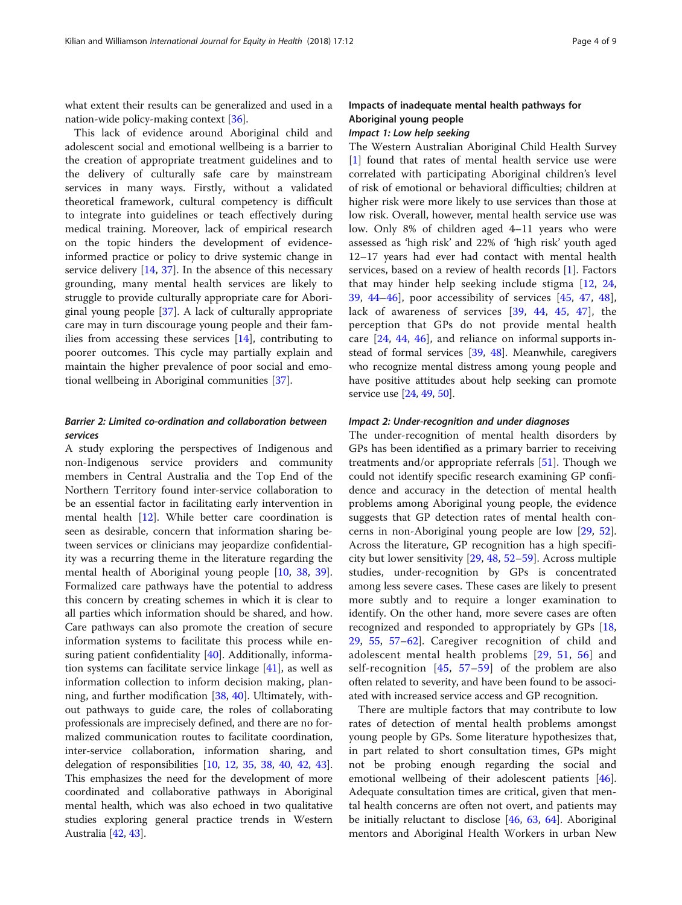what extent their results can be generalized and used in a nation-wide policy-making context [\[36\]](#page-7-0).

This lack of evidence around Aboriginal child and adolescent social and emotional wellbeing is a barrier to the creation of appropriate treatment guidelines and to the delivery of culturally safe care by mainstream services in many ways. Firstly, without a validated theoretical framework, cultural competency is difficult to integrate into guidelines or teach effectively during medical training. Moreover, lack of empirical research on the topic hinders the development of evidenceinformed practice or policy to drive systemic change in service delivery [[14,](#page-6-0) [37\]](#page-7-0). In the absence of this necessary grounding, many mental health services are likely to struggle to provide culturally appropriate care for Aboriginal young people [[37](#page-7-0)]. A lack of culturally appropriate care may in turn discourage young people and their families from accessing these services [[14\]](#page-6-0), contributing to poorer outcomes. This cycle may partially explain and maintain the higher prevalence of poor social and emotional wellbeing in Aboriginal communities [\[37](#page-7-0)].

# Barrier 2: Limited co-ordination and collaboration between services

A study exploring the perspectives of Indigenous and non-Indigenous service providers and community members in Central Australia and the Top End of the Northern Territory found inter-service collaboration to be an essential factor in facilitating early intervention in mental health [\[12\]](#page-6-0). While better care coordination is seen as desirable, concern that information sharing between services or clinicians may jeopardize confidentiality was a recurring theme in the literature regarding the mental health of Aboriginal young people [[10](#page-6-0), [38,](#page-7-0) [39](#page-7-0)]. Formalized care pathways have the potential to address this concern by creating schemes in which it is clear to all parties which information should be shared, and how. Care pathways can also promote the creation of secure information systems to facilitate this process while ensuring patient confidentiality [\[40\]](#page-7-0). Additionally, information systems can facilitate service linkage [[41\]](#page-7-0), as well as information collection to inform decision making, planning, and further modification [[38,](#page-7-0) [40\]](#page-7-0). Ultimately, without pathways to guide care, the roles of collaborating professionals are imprecisely defined, and there are no formalized communication routes to facilitate coordination, inter-service collaboration, information sharing, and delegation of responsibilities [\[10,](#page-6-0) [12,](#page-6-0) [35,](#page-7-0) [38,](#page-7-0) [40,](#page-7-0) [42](#page-7-0), [43](#page-7-0)]. This emphasizes the need for the development of more coordinated and collaborative pathways in Aboriginal mental health, which was also echoed in two qualitative studies exploring general practice trends in Western Australia [\[42](#page-7-0), [43](#page-7-0)].

# Impacts of inadequate mental health pathways for Aboriginal young people

# Impact 1: Low help seeking

The Western Australian Aboriginal Child Health Survey [[1\]](#page-6-0) found that rates of mental health service use were correlated with participating Aboriginal children's level of risk of emotional or behavioral difficulties; children at higher risk were more likely to use services than those at low risk. Overall, however, mental health service use was low. Only 8% of children aged 4–11 years who were assessed as 'high risk' and 22% of 'high risk' youth aged 12–17 years had ever had contact with mental health services, based on a review of health records [\[1](#page-6-0)]. Factors that may hinder help seeking include stigma [\[12](#page-6-0), [24](#page-7-0), [39,](#page-7-0) [44](#page-7-0)–[46\]](#page-7-0), poor accessibility of services [\[45](#page-7-0), [47](#page-7-0), [48](#page-7-0)], lack of awareness of services [[39,](#page-7-0) [44](#page-7-0), [45](#page-7-0), [47\]](#page-7-0), the perception that GPs do not provide mental health care [\[24,](#page-7-0) [44,](#page-7-0) [46](#page-7-0)], and reliance on informal supports instead of formal services [\[39,](#page-7-0) [48](#page-7-0)]. Meanwhile, caregivers who recognize mental distress among young people and have positive attitudes about help seeking can promote service use [[24](#page-7-0), [49,](#page-7-0) [50](#page-7-0)].

#### Impact 2: Under-recognition and under diagnoses

The under-recognition of mental health disorders by GPs has been identified as a primary barrier to receiving treatments and/or appropriate referrals [\[51](#page-7-0)]. Though we could not identify specific research examining GP confidence and accuracy in the detection of mental health problems among Aboriginal young people, the evidence suggests that GP detection rates of mental health concerns in non-Aboriginal young people are low [\[29](#page-7-0), [52](#page-7-0)]. Across the literature, GP recognition has a high specificity but lower sensitivity [[29](#page-7-0), [48](#page-7-0), [52](#page-7-0)–[59\]](#page-7-0). Across multiple studies, under-recognition by GPs is concentrated among less severe cases. These cases are likely to present more subtly and to require a longer examination to identify. On the other hand, more severe cases are often recognized and responded to appropriately by GPs [[18](#page-7-0), [29,](#page-7-0) [55](#page-7-0), [57](#page-7-0)–[62](#page-7-0)]. Caregiver recognition of child and adolescent mental health problems [[29,](#page-7-0) [51](#page-7-0), [56\]](#page-7-0) and self-recognition  $[45, 57-59]$  $[45, 57-59]$  $[45, 57-59]$  $[45, 57-59]$  $[45, 57-59]$  $[45, 57-59]$  of the problem are also often related to severity, and have been found to be associated with increased service access and GP recognition.

There are multiple factors that may contribute to low rates of detection of mental health problems amongst young people by GPs. Some literature hypothesizes that, in part related to short consultation times, GPs might not be probing enough regarding the social and emotional wellbeing of their adolescent patients [\[46](#page-7-0)]. Adequate consultation times are critical, given that mental health concerns are often not overt, and patients may be initially reluctant to disclose [\[46](#page-7-0), [63](#page-7-0), [64](#page-7-0)]. Aboriginal mentors and Aboriginal Health Workers in urban New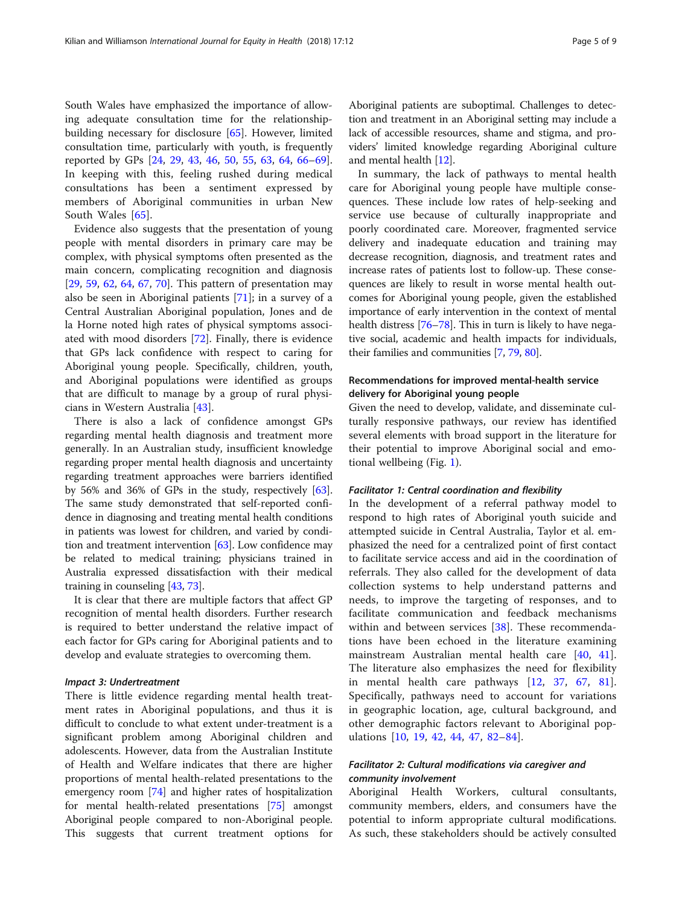South Wales have emphasized the importance of allowing adequate consultation time for the relationshipbuilding necessary for disclosure [[65\]](#page-7-0). However, limited consultation time, particularly with youth, is frequently reported by GPs [\[24](#page-7-0), [29](#page-7-0), [43](#page-7-0), [46,](#page-7-0) [50,](#page-7-0) [55,](#page-7-0) [63,](#page-7-0) [64,](#page-7-0) [66](#page-7-0)–[69](#page-8-0)]. In keeping with this, feeling rushed during medical consultations has been a sentiment expressed by members of Aboriginal communities in urban New South Wales [[65\]](#page-7-0).

Evidence also suggests that the presentation of young people with mental disorders in primary care may be complex, with physical symptoms often presented as the main concern, complicating recognition and diagnosis [[29,](#page-7-0) [59,](#page-7-0) [62](#page-7-0), [64](#page-7-0), [67,](#page-8-0) [70\]](#page-8-0). This pattern of presentation may also be seen in Aboriginal patients [\[71\]](#page-8-0); in a survey of a Central Australian Aboriginal population, Jones and de la Horne noted high rates of physical symptoms associated with mood disorders [[72\]](#page-8-0). Finally, there is evidence that GPs lack confidence with respect to caring for Aboriginal young people. Specifically, children, youth, and Aboriginal populations were identified as groups that are difficult to manage by a group of rural physicians in Western Australia [[43\]](#page-7-0).

There is also a lack of confidence amongst GPs regarding mental health diagnosis and treatment more generally. In an Australian study, insufficient knowledge regarding proper mental health diagnosis and uncertainty regarding treatment approaches were barriers identified by 56% and 36% of GPs in the study, respectively [[63](#page-7-0)]. The same study demonstrated that self-reported confidence in diagnosing and treating mental health conditions in patients was lowest for children, and varied by condition and treatment intervention [\[63\]](#page-7-0). Low confidence may be related to medical training; physicians trained in Australia expressed dissatisfaction with their medical training in counseling [\[43](#page-7-0), [73](#page-8-0)].

It is clear that there are multiple factors that affect GP recognition of mental health disorders. Further research is required to better understand the relative impact of each factor for GPs caring for Aboriginal patients and to develop and evaluate strategies to overcoming them.

## Impact 3: Undertreatment

There is little evidence regarding mental health treatment rates in Aboriginal populations, and thus it is difficult to conclude to what extent under-treatment is a significant problem among Aboriginal children and adolescents. However, data from the Australian Institute of Health and Welfare indicates that there are higher proportions of mental health-related presentations to the emergency room [[74](#page-8-0)] and higher rates of hospitalization for mental health-related presentations [\[75\]](#page-8-0) amongst Aboriginal people compared to non-Aboriginal people. This suggests that current treatment options for

Aboriginal patients are suboptimal. Challenges to detection and treatment in an Aboriginal setting may include a lack of accessible resources, shame and stigma, and providers' limited knowledge regarding Aboriginal culture and mental health [[12](#page-6-0)].

In summary, the lack of pathways to mental health care for Aboriginal young people have multiple consequences. These include low rates of help-seeking and service use because of culturally inappropriate and poorly coordinated care. Moreover, fragmented service delivery and inadequate education and training may decrease recognition, diagnosis, and treatment rates and increase rates of patients lost to follow-up. These consequences are likely to result in worse mental health outcomes for Aboriginal young people, given the established importance of early intervention in the context of mental health distress [[76](#page-8-0)–[78\]](#page-8-0). This in turn is likely to have negative social, academic and health impacts for individuals, their families and communities [\[7](#page-6-0), [79,](#page-8-0) [80\]](#page-8-0).

# Recommendations for improved mental-health service delivery for Aboriginal young people

Given the need to develop, validate, and disseminate culturally responsive pathways, our review has identified several elements with broad support in the literature for their potential to improve Aboriginal social and emotional wellbeing (Fig. [1\)](#page-5-0).

## Facilitator 1: Central coordination and flexibility

In the development of a referral pathway model to respond to high rates of Aboriginal youth suicide and attempted suicide in Central Australia, Taylor et al. emphasized the need for a centralized point of first contact to facilitate service access and aid in the coordination of referrals. They also called for the development of data collection systems to help understand patterns and needs, to improve the targeting of responses, and to facilitate communication and feedback mechanisms within and between services [\[38](#page-7-0)]. These recommendations have been echoed in the literature examining mainstream Australian mental health care [\[40](#page-7-0), [41](#page-7-0)]. The literature also emphasizes the need for flexibility in mental health care pathways [[12,](#page-6-0) [37,](#page-7-0) [67](#page-8-0), [81](#page-8-0)]. Specifically, pathways need to account for variations in geographic location, age, cultural background, and other demographic factors relevant to Aboriginal populations [[10,](#page-6-0) [19](#page-7-0), [42](#page-7-0), [44](#page-7-0), [47,](#page-7-0) [82](#page-8-0)–[84\]](#page-8-0).

# Facilitator 2: Cultural modifications via caregiver and community involvement

Aboriginal Health Workers, cultural consultants, community members, elders, and consumers have the potential to inform appropriate cultural modifications. As such, these stakeholders should be actively consulted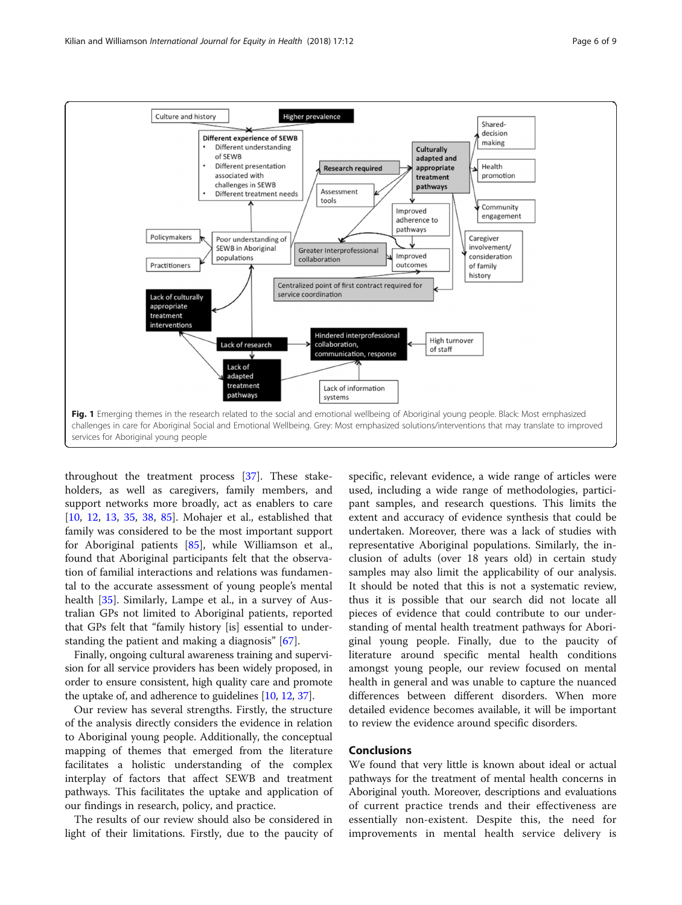Culture and history



<span id="page-5-0"></span>

throughout the treatment process [\[37](#page-7-0)]. These stakeholders, as well as caregivers, family members, and support networks more broadly, act as enablers to care [[10,](#page-6-0) [12,](#page-6-0) [13,](#page-6-0) [35](#page-7-0), [38](#page-7-0), [85](#page-8-0)]. Mohajer et al., established that family was considered to be the most important support for Aboriginal patients [\[85](#page-8-0)], while Williamson et al., found that Aboriginal participants felt that the observation of familial interactions and relations was fundamental to the accurate assessment of young people's mental health [[35\]](#page-7-0). Similarly, Lampe et al., in a survey of Australian GPs not limited to Aboriginal patients, reported that GPs felt that "family history [is] essential to understanding the patient and making a diagnosis" [[67\]](#page-8-0).

Finally, ongoing cultural awareness training and supervision for all service providers has been widely proposed, in order to ensure consistent, high quality care and promote the uptake of, and adherence to guidelines [\[10,](#page-6-0) [12](#page-6-0), [37\]](#page-7-0).

Our review has several strengths. Firstly, the structure of the analysis directly considers the evidence in relation to Aboriginal young people. Additionally, the conceptual mapping of themes that emerged from the literature facilitates a holistic understanding of the complex interplay of factors that affect SEWB and treatment pathways. This facilitates the uptake and application of our findings in research, policy, and practice.

The results of our review should also be considered in light of their limitations. Firstly, due to the paucity of specific, relevant evidence, a wide range of articles were used, including a wide range of methodologies, participant samples, and research questions. This limits the extent and accuracy of evidence synthesis that could be undertaken. Moreover, there was a lack of studies with representative Aboriginal populations. Similarly, the inclusion of adults (over 18 years old) in certain study samples may also limit the applicability of our analysis. It should be noted that this is not a systematic review, thus it is possible that our search did not locate all pieces of evidence that could contribute to our understanding of mental health treatment pathways for Aboriginal young people. Finally, due to the paucity of literature around specific mental health conditions amongst young people, our review focused on mental health in general and was unable to capture the nuanced differences between different disorders. When more detailed evidence becomes available, it will be important to review the evidence around specific disorders.

# Conclusions

We found that very little is known about ideal or actual pathways for the treatment of mental health concerns in Aboriginal youth. Moreover, descriptions and evaluations of current practice trends and their effectiveness are essentially non-existent. Despite this, the need for improvements in mental health service delivery is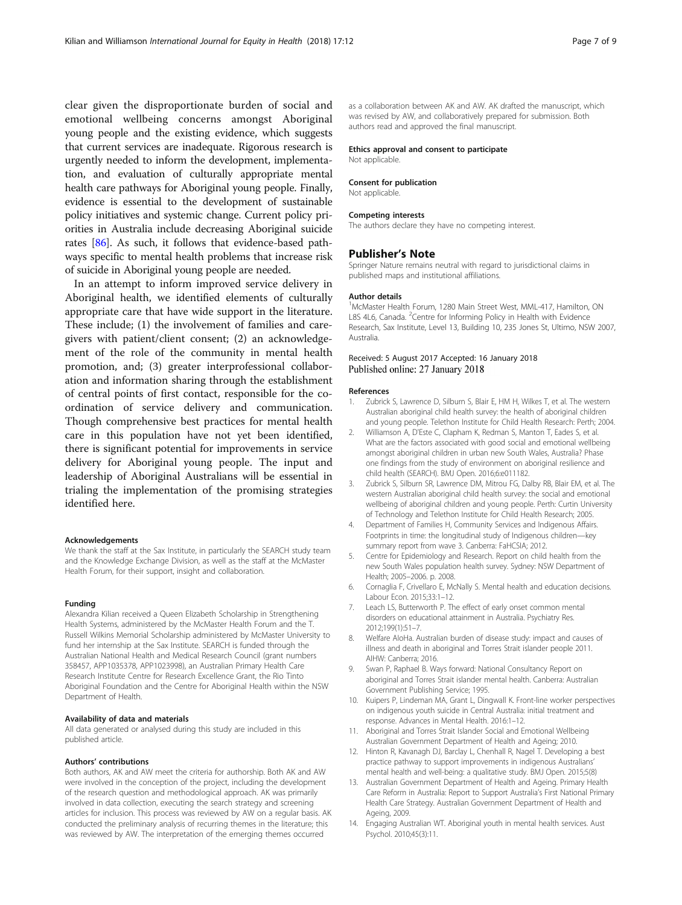<span id="page-6-0"></span>clear given the disproportionate burden of social and emotional wellbeing concerns amongst Aboriginal young people and the existing evidence, which suggests that current services are inadequate. Rigorous research is urgently needed to inform the development, implementation, and evaluation of culturally appropriate mental health care pathways for Aboriginal young people. Finally, evidence is essential to the development of sustainable policy initiatives and systemic change. Current policy priorities in Australia include decreasing Aboriginal suicide rates [\[86\]](#page-8-0). As such, it follows that evidence-based pathways specific to mental health problems that increase risk of suicide in Aboriginal young people are needed.

In an attempt to inform improved service delivery in Aboriginal health, we identified elements of culturally appropriate care that have wide support in the literature. These include; (1) the involvement of families and caregivers with patient/client consent; (2) an acknowledgement of the role of the community in mental health promotion, and; (3) greater interprofessional collaboration and information sharing through the establishment of central points of first contact, responsible for the coordination of service delivery and communication. Though comprehensive best practices for mental health care in this population have not yet been identified, there is significant potential for improvements in service delivery for Aboriginal young people. The input and leadership of Aboriginal Australians will be essential in trialing the implementation of the promising strategies identified here.

#### Acknowledgements

We thank the staff at the Sax Institute, in particularly the SEARCH study team and the Knowledge Exchange Division, as well as the staff at the McMaster Health Forum, for their support, insight and collaboration.

#### Funding

Alexandra Kilian received a Queen Elizabeth Scholarship in Strengthening Health Systems, administered by the McMaster Health Forum and the T. Russell Wilkins Memorial Scholarship administered by McMaster University to fund her internship at the Sax Institute. SEARCH is funded through the Australian National Health and Medical Research Council (grant numbers 358457, APP1035378, APP1023998), an Australian Primary Health Care Research Institute Centre for Research Excellence Grant, the Rio Tinto Aboriginal Foundation and the Centre for Aboriginal Health within the NSW Department of Health.

#### Availability of data and materials

All data generated or analysed during this study are included in this published article.

#### Authors' contributions

Both authors, AK and AW meet the criteria for authorship. Both AK and AW were involved in the conception of the project, including the development of the research question and methodological approach. AK was primarily involved in data collection, executing the search strategy and screening articles for inclusion. This process was reviewed by AW on a regular basis. AK conducted the preliminary analysis of recurring themes in the literature; this was reviewed by AW. The interpretation of the emerging themes occurred

as a collaboration between AK and AW. AK drafted the manuscript, which was revised by AW, and collaboratively prepared for submission. Both authors read and approved the final manuscript.

#### Ethics approval and consent to participate Not applicable.

### Consent for publication

Not applicable.

#### Competing interests

The authors declare they have no competing interest.

#### Publisher's Note

Springer Nature remains neutral with regard to jurisdictional claims in published maps and institutional affiliations.

#### Author details

<sup>1</sup>McMaster Health Forum, 1280 Main Street West, MML-417, Hamilton, ON L8S 4L6, Canada. <sup>2</sup>Centre for Informing Policy in Health with Evidence Research, Sax Institute, Level 13, Building 10, 235 Jones St, Ultimo, NSW 2007, Australia.

### Received: 5 August 2017 Accepted: 16 January 2018 Published online: 27 January 2018

#### References

- 1. Zubrick S, Lawrence D, Silburn S, Blair E, HM H, Wilkes T, et al. The western Australian aboriginal child health survey: the health of aboriginal children and young people. Telethon Institute for Child Health Research: Perth; 2004.
- 2. Williamson A, D'Este C, Clapham K, Redman S, Manton T, Eades S, et al. What are the factors associated with good social and emotional wellbeing amongst aboriginal children in urban new South Wales, Australia? Phase one findings from the study of environment on aboriginal resilience and child health (SEARCH). BMJ Open. 2016;6:e011182.
- 3. Zubrick S, Silburn SR, Lawrence DM, Mitrou FG, Dalby RB, Blair EM, et al. The western Australian aboriginal child health survey: the social and emotional wellbeing of aboriginal children and young people. Perth: Curtin University of Technology and Telethon Institute for Child Health Research; 2005.
- Department of Families H, Community Services and Indigenous Affairs. Footprints in time: the longitudinal study of Indigenous children—key summary report from wave 3. Canberra: FaHCSIA; 2012.
- 5. Centre for Epidemiology and Research. Report on child health from the new South Wales population health survey. Sydney: NSW Department of Health; 2005–2006. p. 2008.
- 6. Cornaglia F, Crivellaro E, McNally S. Mental health and education decisions. Labour Econ. 2015;33:1–12.
- 7. Leach LS, Butterworth P. The effect of early onset common mental disorders on educational attainment in Australia. Psychiatry Res. 2012;199(1):51–7.
- 8. Welfare AIoHa. Australian burden of disease study: impact and causes of illness and death in aboriginal and Torres Strait islander people 2011. AIHW: Canberra; 2016.
- 9. Swan P, Raphael B. Ways forward: National Consultancy Report on aboriginal and Torres Strait islander mental health. Canberra: Australian Government Publishing Service; 1995.
- 10. Kuipers P, Lindeman MA, Grant L, Dingwall K. Front-line worker perspectives on indigenous youth suicide in Central Australia: initial treatment and response. Advances in Mental Health. 2016:1–12.
- 11. Aboriginal and Torres Strait Islander Social and Emotional Wellbeing Australian Government Department of Health and Ageing; 2010.
- 12. Hinton R, Kavanagh DJ, Barclay L, Chenhall R, Nagel T. Developing a best practice pathway to support improvements in indigenous Australians' mental health and well-being: a qualitative study. BMJ Open. 2015;5(8)
- 13. Australian Government Department of Health and Ageing. Primary Health Care Reform in Australia: Report to Support Australia's First National Primary Health Care Strategy. Australian Government Department of Health and Ageing, 2009.
- 14. Engaging Australian WT. Aboriginal youth in mental health services. Aust Psychol. 2010;45(3):11.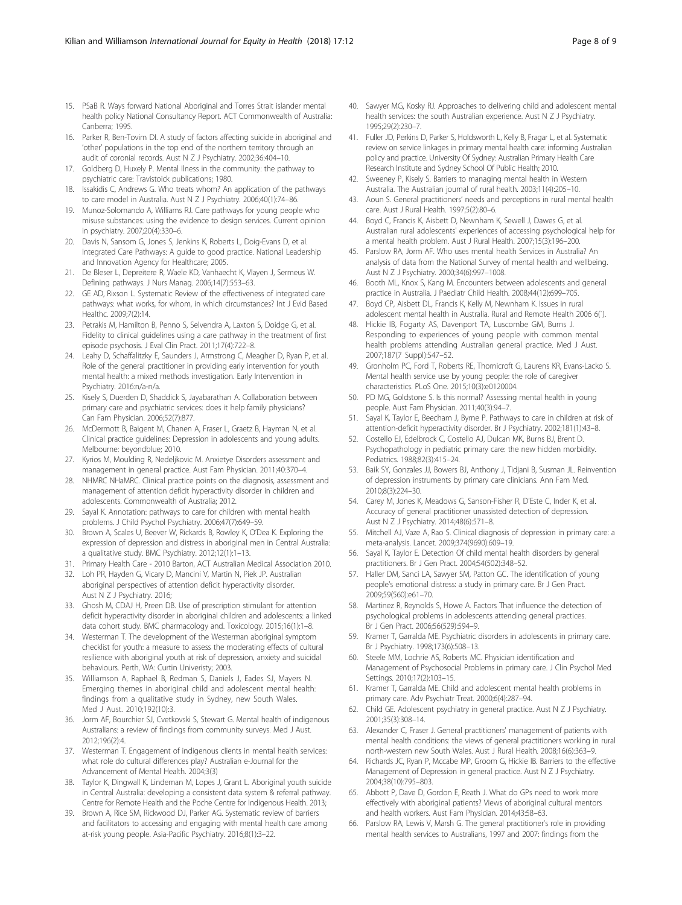- <span id="page-7-0"></span>15. PSaB R. Ways forward National Aboriginal and Torres Strait islander mental health policy National Consultancy Report. ACT Commonwealth of Australia: Canberra; 1995.
- 16. Parker R, Ben-Tovim DI. A study of factors affecting suicide in aboriginal and 'other' populations in the top end of the northern territory through an audit of coronial records. Aust N Z J Psychiatry. 2002;36:404–10.
- 17. Goldberg D, Huxely P. Mental Ilness in the community: the pathway to psychiatric care: Travistoick publications; 1980.
- 18. Issakidis C, Andrews G. Who treats whom? An application of the pathways to care model in Australia. Aust N Z J Psychiatry. 2006;40(1):74–86.
- 19. Munoz-Solomando A, Williams RJ. Care pathways for young people who misuse substances: using the evidence to design services. Current opinion in psychiatry. 2007;20(4):330–6.
- 20. Davis N, Sansom G, Jones S, Jenkins K, Roberts L, Doig-Evans D, et al. Integrated Care Pathways: A guide to good practice. National Leadership and Innovation Agency for Healthcare; 2005.
- 21. De Bleser L, Depreitere R, Waele KD, Vanhaecht K, Vlayen J, Sermeus W. Defining pathways. J Nurs Manag. 2006;14(7):553–63.
- 22. GE AD, Rixson L. Systematic Review of the effectiveness of integrated care pathways: what works, for whom, in which circumstances? Int J Evid Based Healthc. 2009;7(2):14.
- 23. Petrakis M, Hamilton B, Penno S, Selvendra A, Laxton S, Doidge G, et al. Fidelity to clinical guidelines using a care pathway in the treatment of first episode psychosis. J Eval Clin Pract. 2011;17(4):722–8.
- 24. Leahy D, Schaffalitzky E, Saunders J, Armstrong C, Meagher D, Ryan P, et al. Role of the general practitioner in providing early intervention for youth mental health: a mixed methods investigation. Early Intervention in Psychiatry. 2016:n/a-n/a.
- 25. Kisely S, Duerden D, Shaddick S, Jayabarathan A. Collaboration between primary care and psychiatric services: does it help family physicians? Can Fam Physician. 2006;52(7):877.
- 26. McDermott B, Baigent M, Chanen A, Fraser L, Graetz B, Hayman N, et al. Clinical practice guidelines: Depression in adolescents and young adults. Melbourne: beyondblue; 2010.
- 27. Kyrios M, Moulding R, Nedeljkovic M. Anxietye Disorders assessment and management in general practice. Aust Fam Physician. 2011;40:370–4.
- 28. NHMRC NHaMRC. Clinical practice points on the diagnosis, assessment and management of attention deficit hyperactivity disorder in children and adolescents. Commonwealth of Australia; 2012.
- 29. Sayal K. Annotation: pathways to care for children with mental health problems. J Child Psychol Psychiatry. 2006;47(7):649–59.
- 30. Brown A, Scales U, Beever W, Rickards B, Rowley K, O'Dea K. Exploring the expression of depression and distress in aboriginal men in Central Australia: a qualitative study. BMC Psychiatry. 2012;12(1):1–13.
- 31. Primary Health Care 2010 Barton, ACT Australian Medical Association 2010.
- 32. Loh PR, Hayden G, Vicary D, Mancini V, Martin N, Piek JP. Australian aboriginal perspectives of attention deficit hyperactivity disorder. Aust N Z J Psychiatry. 2016;
- 33. Ghosh M, CDAJ H, Preen DB. Use of prescription stimulant for attention deficit hyperactivity disorder in aboriginal children and adolescents: a linked data cohort study. BMC pharmacology and. Toxicology. 2015;16(1):1–8.
- 34. Westerman T. The development of the Westerman aboriginal symptom checklist for youth: a measure to assess the moderating effects of cultural resilience with aboriginal youth at risk of depression, anxiety and suicidal behaviours. Perth, WA: Curtin Univeristy; 2003.
- 35. Williamson A, Raphael B, Redman S, Daniels J, Eades SJ, Mayers N. Emerging themes in aboriginal child and adolescent mental health: findings from a qualitative study in Sydney, new South Wales. Med J Aust. 2010;192(10):3.
- 36. Jorm AF, Bourchier SJ, Cvetkovski S, Stewart G. Mental health of indigenous Australians: a review of findings from community surveys. Med J Aust. 2012;196(2):4.
- 37. Westerman T. Engagement of indigenous clients in mental health services: what role do cultural differences play? Australian e-Journal for the Advancement of Mental Health. 2004;3(3)
- 38. Taylor K, Dingwall K, Lindeman M, Lopes J, Grant L. Aboriginal youth suicide in Central Australia: developing a consistent data system & referral pathway. Centre for Remote Health and the Poche Centre for Indigenous Health. 2013;
- 39. Brown A, Rice SM, Rickwood DJ, Parker AG. Systematic review of barriers and facilitators to accessing and engaging with mental health care among at-risk young people. Asia-Pacific Psychiatry. 2016;8(1):3–22.
- 40. Sawyer MG, Kosky RJ. Approaches to delivering child and adolescent mental health services: the south Australian experience. Aust N Z J Psychiatry. 1995;29(2):230–7.
- 41. Fuller JD, Perkins D, Parker S, Holdsworth L, Kelly B, Fragar L, et al. Systematic review on service linkages in primary mental health care: informing Australian policy and practice. University Of Sydney: Australian Primary Health Care Research Institute and Sydney School Of Public Health; 2010.
- 42. Sweeney P, Kisely S. Barriers to managing mental health in Western Australia. The Australian journal of rural health. 2003;11(4):205–10.
- 43. Aoun S. General practitioners' needs and perceptions in rural mental health care. Aust J Rural Health. 1997;5(2):80–6.
- 44. Boyd C, Francis K, Aisbett D, Newnham K, Sewell J, Dawes G, et al. Australian rural adolescents' experiences of accessing psychological help for a mental health problem. Aust J Rural Health. 2007;15(3):196–200.
- 45. Parslow RA, Jorm AF. Who uses mental health Services in Australia? An analysis of data from the National Survey of mental health and wellbeing. Aust N Z J Psychiatry. 2000;34(6):997–1008.
- 46. Booth ML, Knox S, Kang M. Encounters between adolescents and general practice in Australia. J Paediatr Child Health. 2008;44(12):699–705.
- 47. Boyd CP, Aisbett DL, Francis K, Kelly M, Newnham K. Issues in rural adolescent mental health in Australia. Rural and Remote Health 2006 6(`).
- 48. Hickie IB, Fogarty AS, Davenport TA, Luscombe GM, Burns J. Responding to experiences of young people with common mental health problems attending Australian general practice. Med J Aust. 2007;187(7 Suppl):S47–52.
- 49. Gronholm PC, Ford T, Roberts RE, Thornicroft G, Laurens KR, Evans-Lacko S. Mental health service use by young people: the role of caregiver characteristics. PLoS One. 2015;10(3):e0120004.
- 50. PD MG, Goldstone S. Is this normal? Assessing mental health in young people. Aust Fam Physician. 2011;40(3):94–7.
- 51. Sayal K, Taylor E, Beecham J, Byrne P. Pathways to care in children at risk of attention-deficit hyperactivity disorder. Br J Psychiatry. 2002;181(1):43–8.
- 52. Costello EJ, Edelbrock C, Costello AJ, Dulcan MK, Burns BJ, Brent D. Psychopathology in pediatric primary care: the new hidden morbidity. Pediatrics. 1988;82(3):415–24.
- 53. Baik SY, Gonzales JJ, Bowers BJ, Anthony J, Tidjani B, Susman JL. Reinvention of depression instruments by primary care clinicians. Ann Fam Med. 2010;8(3):224–30.
- 54. Carey M, Jones K, Meadows G, Sanson-Fisher R, D'Este C, Inder K, et al. Accuracy of general practitioner unassisted detection of depression. Aust N Z J Psychiatry. 2014;48(6):571–8.
- 55. Mitchell AJ, Vaze A, Rao S. Clinical diagnosis of depression in primary care: a meta-analysis. Lancet. 2009;374(9690):609–19.
- 56. Sayal K, Taylor E. Detection Of child mental health disorders by general practitioners. Br J Gen Pract. 2004;54(502):348–52.
- 57. Haller DM, Sanci LA, Sawyer SM, Patton GC. The identification of young people's emotional distress: a study in primary care. Br J Gen Pract. 2009;59(560):e61–70.
- 58. Martinez R, Reynolds S, Howe A. Factors That influence the detection of psychological problems in adolescents attending general practices. Br J Gen Pract. 2006;56(529):594–9.
- 59. Kramer T, Garralda ME. Psychiatric disorders in adolescents in primary care. Br J Psychiatry. 1998;173(6):508–13.
- 60. Steele MM, Lochrie AS, Roberts MC. Physician identification and Management of Psychosocial Problems in primary care. J Clin Psychol Med Settings. 2010;17(2):103–15.
- 61. Kramer T, Garralda ME. Child and adolescent mental health problems in primary care. Adv Psychiatr Treat. 2000;6(4):287–94.
- 62. Child GE. Adolescent psychiatry in general practice. Aust N Z J Psychiatry. 2001;35(3):308–14.
- 63. Alexander C, Fraser J. General practitioners' management of patients with mental health conditions: the views of general practitioners working in rural north-western new South Wales. Aust J Rural Health. 2008;16(6):363–9.
- 64. Richards JC, Ryan P, Mccabe MP, Groom G, Hickie IB. Barriers to the effective Management of Depression in general practice. Aust N Z J Psychiatry. 2004;38(10):795–803.
- 65. Abbott P, Dave D, Gordon E, Reath J. What do GPs need to work more effectively with aboriginal patients? Views of aboriginal cultural mentors and health workers. Aust Fam Physician. 2014;43:58–63.
- 66. Parslow RA, Lewis V, Marsh G. The general practitioner's role in providing mental health services to Australians, 1997 and 2007: findings from the